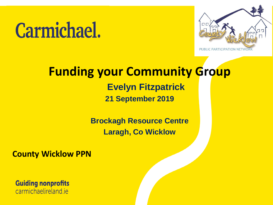# **Carmichael.**



#### **Funding your Community Group Evelyn Fitzpatrick 21 September 2019**

**Brockagh Resource Centre Laragh, Co Wicklow**

**County Wicklow PPN**

**Guiding nonprofits** carmichaelireland.je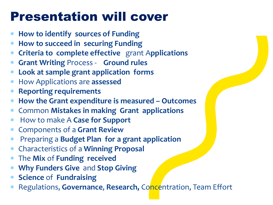### Presentation will cover

- **How to identify sources of Funding**
- **How to succeed in securing Funding**
- **Criteria to complete effective** grant A**pplications**
- **Grant Writing** Process **Ground rules**
- **Look at sample grant application forms**
- How Applications are **assessed**
- **Reporting requirements**
- **How the Grant expenditure is measured – Outcomes**
- Common **Mistakes in making Grant applications**
- How to make A **Case for Support**
- Components of a **Grant Review**
- Preparing a **Budget Plan for a grant application**
- Characteristics of a **Winning Proposal**
- The **Mix** of **Funding received**
- **Why Funders Give** and **Stop Giving**
- **Science** of **Fundraising**
- Regulations, **Governance**, **Research,** Concentration, Team Effort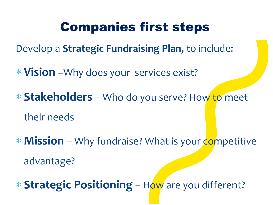### Companies first steps

Develop a **Strategic Fundraising Plan,** to include:

**Vision** –Why does your services exist?

 **Stakeholders** – Who do you serve? How to meet their needs

\* **Mission** – Why fundraise? What is your competitive advantage?

**Strategic Positioning** – How are you different?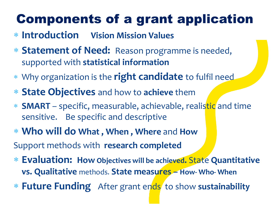## Components of a grant application

- **Introduction Vision Mission Values**
- **Statement of Need:** Reason programme is needed, supported with **statistical information**
- Why organization is the **right candidate** to fulfil need
- **State Objectives** and how to **achieve** them
- **SMART** specific, measurable, achievable, realistic and time sensitive. Be specific and descriptive
- **Who will do What , When , Where** and **How**

Support methods with **research completed** 

- **Evaluation: How Objectives will be achieved.** State **Quantitative vs. Qualitative** methods. **State measures – How- Who- When**
- \* Future Funding After grant ends to show sustainability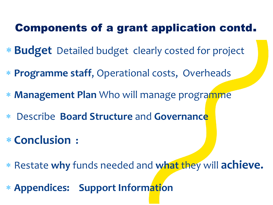#### Components of a grant application contd.

- **Budget** Detailed budget clearly costed for project
- **Programme staff**, Operational costs, Overheads
- **Management Plan** Who will manage programme
- Describe **Board Structure** and **Governance**
- **Conclusion :**
- Restate **why** funds needed and **what** they will **achieve.**
- **Appendices: Support Information**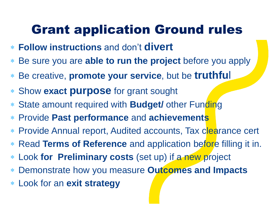### Grant application Ground rules

- **Follow instructions** and don't **divert**
- Be sure you are **able to run the project** before you apply
- Be creative, **promote your service**, but be **truthfu**l
- Show **exact purpose** for grant sought
- State amount required with **Budget/** other Funding
- Provide **Past performance** and **achievements**
- \* Provide Annual report, Audited accounts, Tax clearance cert
- Read **Terms of Reference** and application before filling it in.
- Look **for Preliminary costs** (set up) if a new project
- Demonstrate how you measure **Outcomes and Impacts**
- Look for an **exit strategy**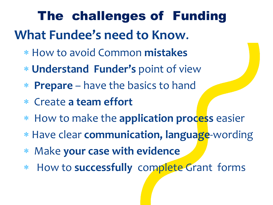**What Fundee's need to Know**. The challenges of Funding

- How to avoid Common **mistakes**
- **Understand Funder's** point of view
- **Prepare** have the basics to hand
- Create **a team effort**
- How to make the **application process** easier
- Have clear **communication, language**-wording
- Make **your case with evidence**
- How to **successfully** complete Grant forms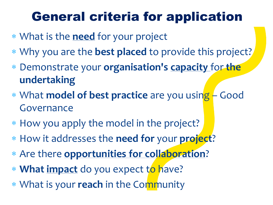### General criteria for application

- What is the **need** for your project
- Why you are the **best placed** to provide this project?
- Demonstrate your **organisation's capacity** for **the undertaking**
- What **model of best practice** are you using Good Governance
- How you apply the model in the project?
- How it addresses the **need for** your **project**?
- Are there **opportunities for collaboration**?
- **What impact** do you expect to have?
- What is your **reach** in the Community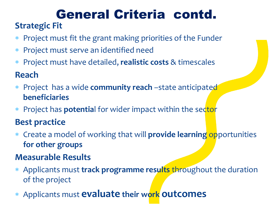#### **Strategic Fit**  General Criteria contd.

- Project must fit the grant making priorities of the Funder
- Project must serve an identified need
- Project must have detailed, **realistic costs** & timescales

**Reach**

- Project has a wide **community reach** –state anticipated **beneficiaries**
- Project has **potentia**l for wider impact within the sector

#### **Best practice**

 Create a model of working that will **provide learning** opportunities **for other groups**

#### **Measurable Results**

- Applicants must **track programme results** throughout the duration of the project
- Applicants must **evaluate their work outcomes**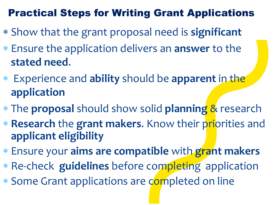#### Practical Steps for Writing Grant Applications

- Show that the grant proposal need is **significant**
- Ensure the application delivers an **answer** to the **stated need**.
- Experience and **ability** should be **apparent** in the **application**
- The **proposal** should show solid **planning** & research
- **Research** the **grant makers**. Know their priorities and **applicant eligibility**
- Ensure your **aims are compatible** with **grant makers**
- Re-check **guidelines** before completing application
- Some Grant applications are completed on line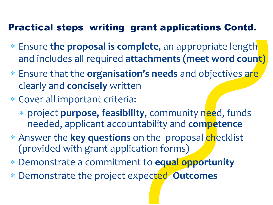#### Practical steps writing grant applications Contd.

- Ensure **the proposal is complete**, an appropriate length and includes all required **attachments (meet word count)**
- Ensure that the **organisation's needs** and objectives are clearly and **concisely** written
- Cover all important criteria:
	- project **purpose, feasibility**, community need, funds needed, applicant accountability and **competence**
- Answer the **key questions** on the proposal checklist (provided with grant application forms)
- Demonstrate a commitment to **equal opportunity**
- Demonstrate the project expected **Outcomes**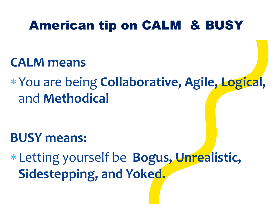### American tip on CALM & BUSY

#### **CALM means**

You are being **Collaborative, Agile, Logical,**  and **Methodical**

### **BUSY means:**

Letting yourself be **Bogus, Unrealistic, Sidestepping, and Yoked.**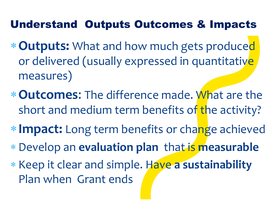#### Understand Outputs Outcomes & Impacts

- **Outputs:** What and how much gets produced or delivered (usually expressed in quantitative measures)
- **Outcomes**: The difference made. What are the short and medium term benefits of the activity?
- **Impact:** Long term benefits or change achieved
- Develop an **evaluation plan** that is **measurable**
- \* Keep it clear and simple. Have a sustainability Plan when Grant ends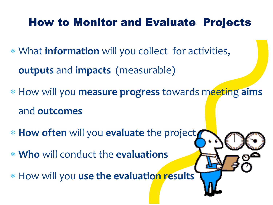#### How to Monitor and Evaluate Projects

- What **information** will you collect for activities, **outputs** and **impacts** (measurable)
- How will you **measure progress** towards meeting **aims** and **outcomes**
- **How often** will you **evaluate** the project
- **Who** will conduct the **evaluations**
- How will you **use the evaluation results**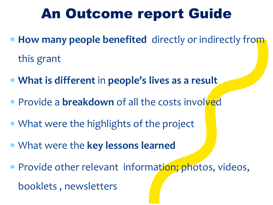## An Outcome report Guide

- **How many people benefited** directly or indirectly from this grant
- **What is different** in **people's lives as a result**
- Provide a **breakdown** of all the costs involved
- What were the highlights of the project
- What were the **key lessons learned**
- \* Provide other relevant information; photos, videos, booklets , newsletters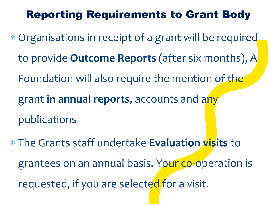#### Reporting Requirements to Grant Body

- Organisations in receipt of a grant will be required to provide **Outcome Reports** (after six months), A Foundation will also require the mention of the grant **in annual reports**, accounts and any publications
- The Grants staff undertake **Evaluation visits** to grantees on an annual basis. Your co-operation is requested, if you are selected for a visit.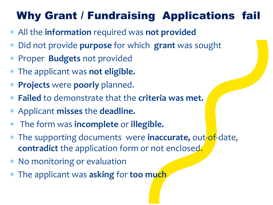### Why Grant / Fundraising Applications fail

- All the **information** required was **not provided**
- Did not provide **purpose** for which **grant** was sought
- Proper **Budgets** not provided
- The applicant was **not eligible.**
- **Projects** were **poorly** planned.
- **Failed** to demonstrate that the **criteria was met.**
- Applicant **misses** the **deadline.**
- The form was **incomplete** or **illegible.**
- The supporting documents were **inaccurate,** out-of-date, **contradict** the application form or not enclosed.
- \* No monitoring or evaluation
- The applicant was **asking** for **too much**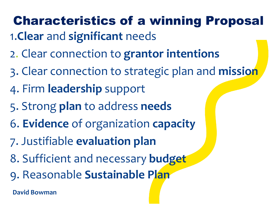## Characteristics of a winning Proposal

- 1.**Clear** and **significant** needs
- 2. Clear connection to **grantor intentions**
- 3. Clear connection to strategic plan and **mission**
- 4. Firm **leadership** support
- 5. Strong **plan** to address **needs**
- 6. **Evidence** of organization **capacity**
- 7. Justifiable **evaluation plan**
- 8. Sufficient and necessary **budget**
- 9. Reasonable **Sustainable Plan**

**David Bowman**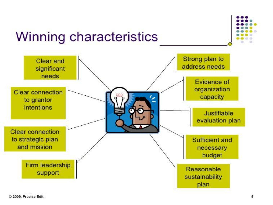



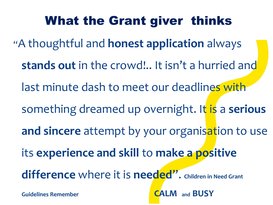## What the Grant giver thinks

"A thoughtful and **honest application** always

**stands out** in the crowd!.. It isn't a hurried and

last minute dash to meet our deadlines with

something dreamed up overnight. It is a **serious** 

**and sincere** attempt by your organisation to use

its **experience and skill** to **make a positive** 

**difference** where it is **needed**". **Children in Need Grant** 

**Guidelines Remember CALM and BUSY**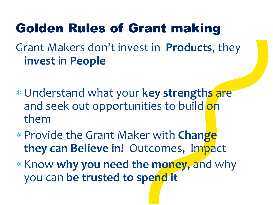## Grant Makers don't invest in **Products**, they **invest** in **People** Golden Rules of Grant making

- Understand what your **key strengths** are and seek out opportunities to build on them
- Provide the Grant Maker with **Change they can Believe in!** Outcomes, Impact
- \* Know why you need the money, and why you can **be trusted to spend it**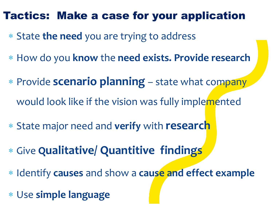#### Tactics: Make a case for your application

- State **the need** you are trying to address
- How do you **know** the **need exists. Provide research**
- Provide **scenario planning**  state what company would look like if the vision was fully implemented
- State major need and **verify** with **research**
- Give **Qualitative/ Quantitive findings**
- Identify **causes** and show a **cause and effect example**
- Use **simple language**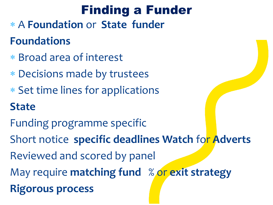### Finding a Funder

- A **Foundation** or **State funder Foundations**
- Broad area of interest
- Decisions made by trustees
- \* Set time lines for applications

### **State**

- Funding programme specific
- Short notice **specific deadlines Watch** for **Adverts**
- Reviewed and scored by panel
- May require **matching fund** % or **exit strategy**
- **Rigorous process**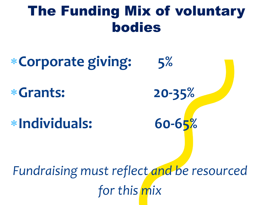## The Funding Mix of voluntary bodies

# **Corporate giving: 5%**

**Grants: 20-35%**

**Individuals: 60-65%** 

*Fundraising must reflect and be resourced for this mix*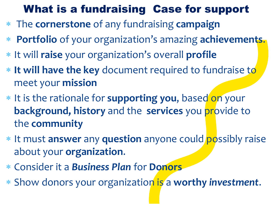#### What is a fundraising Case for support

- The **cornerstone** of any fundraising **campaign**
- **Portfolio** of your organization's amazing **achievements**.
- It will **raise** your organization's overall **profile**
- **If will have the key** document required to fundraise to meet your **mission**
- It is the rationale for **supporting you**, based on your **background, history** and the **services** you provide to the **community**
- It must **answer** any **question** anyone could possibly raise about your **organization**.
- Consider it a *Business Plan* for **Donors**
- Show donors your organization is a **worthy** *investment*.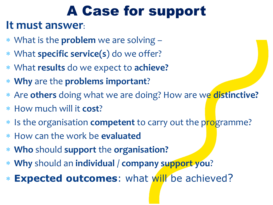## A Case for support

#### **It must answer**:

- What is the **problem** we are solving –
- What **specific service(s**) do we offer?
- What **results** do we expect to **achieve?**
- **Why** are the **problems important**?
- Are **others** doing what we are doing? How are we **distinctive?**
- How much will it **cost**?
- Is the organisation **competent** to carry out the programme?
- How can the work be **evaluated**
- **Who** should **support** the **organisation?**
- **Why** should an **individual** / **company support you**?
- **Expected outcomes**: what will be achieved?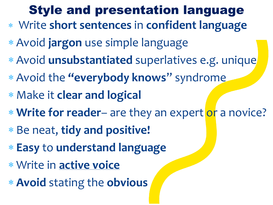### Style and presentation language

- Write **short sentences** in **confident language**
- Avoid **jargon** use simple language
- Avoid **unsubstantiated** superlatives e.g. unique
- Avoid the **"everybody knows**" syndrome
- Make it **clear and logical**
- **Write for reader** are they an expert or a novice?
- Be neat, **tidy and positive!**
- **Easy** to **understand language**
- Write in **active voice**
- **Avoid** stating the **obvious**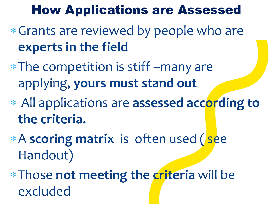### How Applications are Assessed

- Grants are reviewed by people who are **experts in the field**
- The competition is stiff –many are applying, **yours must stand out**
- All applications are **assessed according to the criteria.**
- A **scoring matrix** is often used ( see Handout)
- Those **not meeting the criteria** will be excluded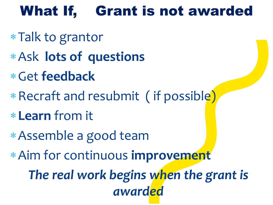## What If, Grant is not awarded

- Talk to grantor
- Ask **lots of questions**
- Get **feedback**
- Recraft and resubmit ( if possible)
- **Learn** from it
- Assemble a good team
- Aim for continuous **improvement**

*The real work begins when the grant is awarded*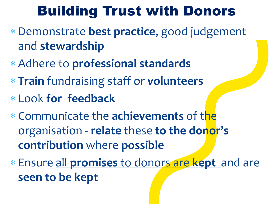## Building Trust with Donors

- Demonstrate **best practice**, good judgement and **stewardship**
- Adhere to **professional standards**
- **Train** fundraising staff or **volunteers**
- Look **for feedback**
- Communicate the **achievements** of the organisation - **relate** these **to the donor's contribution** where **possible**
- Ensure all **promises** to donors are **kept** and are **seen to be kept**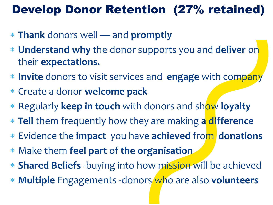### Develop Donor Retention (27% retained)

- **Thank** donors well and **promptly**
- **Understand why** the donor supports you and **deliver** on their **expectations.**
- **Invite** donors to visit services and **engage** with company
- Create a donor **welcome pack**
- Regularly **keep in touch** with donors and show **loyalty**
- **Tell** them frequently how they are making **a difference**
- Evidence the **impact** you have **achieved** from **donations**
- Make them **feel part** of **the organisation**
- **Shared Beliefs** -buying into how mission will be achieved
- **Multiple** Engagements -donors who are also **volunteers**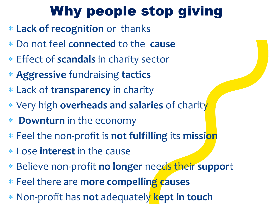## Why people stop giving

- **Lack of recognition** or thanks
- Do not feel **connected** to the **cause**
- Effect of **scandals** in charity sector
- **Aggressive** fundraising **tactics**
- Lack of **transparency** in charity
- Very high **overheads and salaries** of charity
- **Downturn** in the economy
- Feel the non-profit is **not fulfilling** its **mission**
- Lose **interest** in the cause
- Believe non-profit **no longer** needs their **suppor**t
- Feel there are **more compelling causes**
- Non-profit has **not** adequately **kept in touch**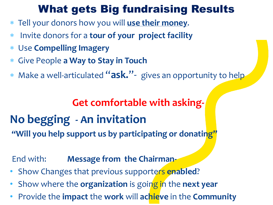#### What gets Big fundraising Results

- Tell your donors how you will **use their money**.
- Invite donors for a **tour of your project facility**
- Use **Compelling Imagery**
- Give People **a Way to Stay in Touch**
- Make a well-articulated "**ask.**"- gives an opportunity to help

#### **Get comfortable with asking-**

## **No begging - An invitation**

**"Will you help support us by participating or donating"**

#### End with: **Message from the Chairman-**

- Show Changes that previous supporters **enabled**?
- Show where the **organization** is going in the **next year**
- Provide the **impact** the **work** will **achieve** in the **Community**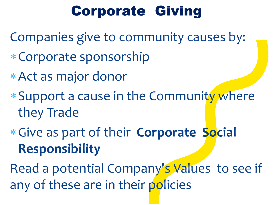## Corporate Giving

Companies give to community causes by:

- Corporate sponsorship
- Act as major donor
- Support a cause in the Community where they Trade
- Give as part of their **Corporate Social Responsibility**

Read a potential Company's Values to see if any of these are in their policies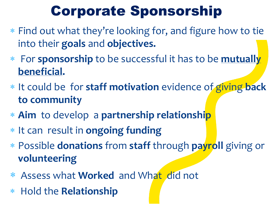## Corporate Sponsorship

- Find out what they're looking for, and figure how to tie into their **goals** and **objectives.**
- For **sponsorship** to be successful it has to be **mutually beneficial.**
- It could be for **staff motivation** evidence of giving **back to community**
- **Aim** to develop a **partnership relationship**
- \* It can result in **ongoing funding**
- Possible **donations** from **staff** through **payroll** giving or **volunteering**
- Assess what **Worked** and What did not
- Hold the **Relationship**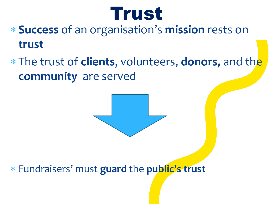

- **Success** of an organisation's **mission** rests on **trust**
- The trust of **clients**, volunteers, **donors,** and the **community** are served



Fundraisers' must **guard** the **public's trust**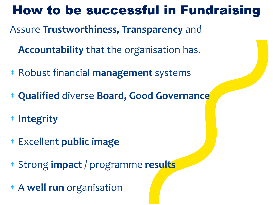### How to be successful in Fundraising

Assure **Trustworthiness, Transparency** and

**Accountability** that the organisation has.

- Robust financial **management** systems
- **Qualified** diverse **Board, Good Governance**
- **Integrity**
- Excellent **public image**
- Strong **impact** / programme **results**
- A **well run** organisation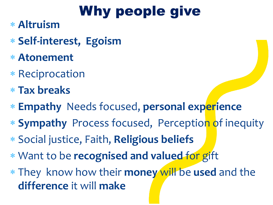## Why people give

- **Altruism**
- **Self-interest, Egoism**
- **Atonement**
- \* Reciprocation
- **Tax breaks**
- **Empathy** Needs focused, **personal experience**
- **Sympathy** Process focused, Perception of inequity
- Social justice, Faith, **Religious beliefs**
- Want to be **recognised and valued** for gift
- They know how their **money** will be **used** and the **difference** it will **make**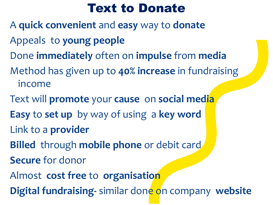### Text to Donate

- A **quick convenient** and **easy** way to **donate**
- Appeals to **young people**
- Done **immediately** often on **impulse** from **media**
- Method has given up to **40% increase** in fundraising income
- Text will **promote** your **cause** on **social media**
- **Easy** to **set up** by way of using a **key word**  Link to a **provider**
- **Billed** through **mobile phone** or debit card
- **Secure** for donor
- Almost **cost free** to **organisation**
- **Digital fundraising-** similar done on company **website**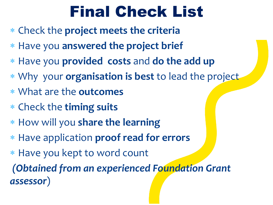## Final Check List

- Check the **project meets the criteria**
- Have you **answered the project brief**
- Have you **provided costs** and **do the add up**
- Why your **organisation is best** to lead the project
- What are the **outcomes**
- Check the **timing suits**
- How will you **share the learning**
- Have application **proof read for errors**
- Have you kept to word count

*(Obtained from an experienced Foundation Grant assessor*)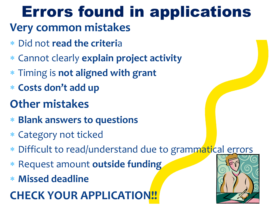# Errors found in applications

### **Very common mistakes**

- Did not **read the criteri**a
- Cannot clearly **explain project activity**
- Timing is **not aligned with grant**
- **Costs don't add up**

### **Other mistakes**

- **Blank answers to questions**
- Category not ticked
- Difficult to read/understand due to grammatical errors
- Request amount **outside funding**
- **Missed deadline**

### **CHECK YOUR APPLICATION!!**

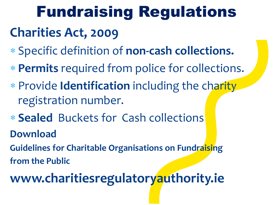## **Charities Act, 2009** Fundraising Regulations

- Specific definition of **non-cash collections.**
- **Permits** required from police for collections.
- Provide **Identification** including the charity registration number.
- **Sealed** Buckets for Cash collections **Download**
- **Guidelines for Charitable Organisations on Fundraising from the Public**

## **www.charitiesregulatoryauthority.ie**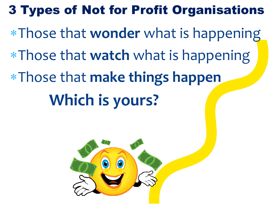### 3 Types of Not for Profit Organisations

Those that **wonder** what is happening

Those that **watch** what is happening

Those that **make things happen** 

## **Which is yours?**

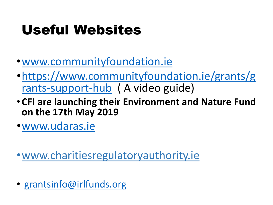## Useful Websites

- •[www.communityfoundation.ie](http://www.communityfoundation.ie/)
- •[https://www.communityfoundation.ie/grants/g](https://www.communityfoundation.ie/grants/grants-support-hub) rants-support-hub ( A video guide)
- **CFI are launching their Environment and Nature Fund on the 17th May 2019**
- •[www.udaras.ie](http://www.udaras.ie/)

•www.charitiesregulatoryauthority.ie

• [grantsinfo@irlfunds.org](mailto:grantsinfo@irlfunds.org)